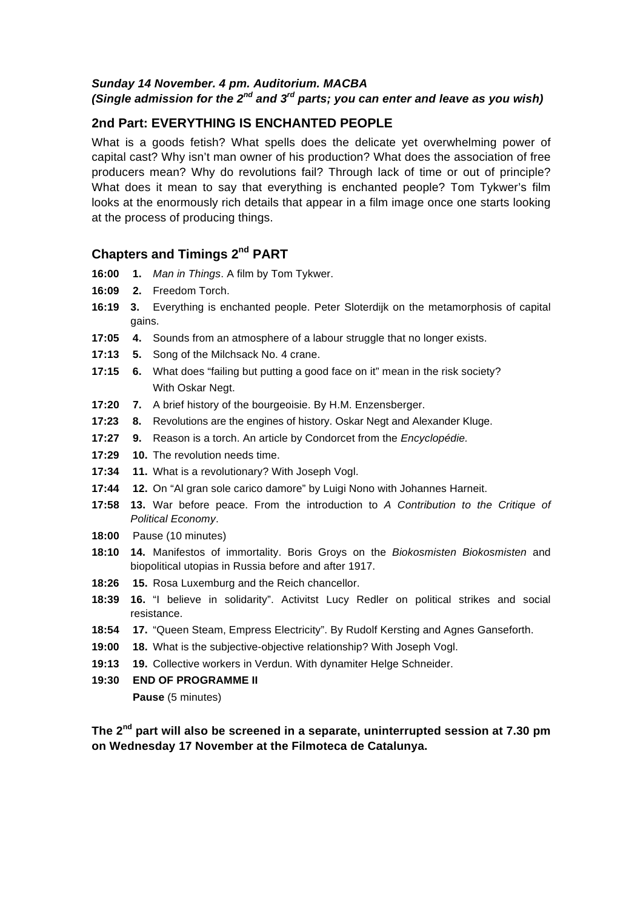### *Sunday 14 November. 4 pm. Auditorium. MACBA (Single admission for the 2nd and 3rd parts; you can enter and leave as you wish)*

### **2nd Part: EVERYTHING IS ENCHANTED PEOPLE**

What is a goods fetish? What spells does the delicate yet overwhelming power of capital cast? Why isn't man owner of his production? What does the association of free producers mean? Why do revolutions fail? Through lack of time or out of principle? What does it mean to say that everything is enchanted people? Tom Tykwer's film looks at the enormously rich details that appear in a film image once one starts looking at the process of producing things.

### **Chapters and Timings 2nd PART**

- **16:00 1.** *Man in Things*. A film by Tom Tykwer.
- **16:09 2.** Freedom Torch.
- **16:19 3.** Everything is enchanted people. Peter Sloterdijk on the metamorphosis of capital gains.
- **17:05 4.** Sounds from an atmosphere of a labour struggle that no longer exists.
- **17:13 5.** Song of the Milchsack No. 4 crane.
- **17:15 6.** What does "failing but putting a good face on it" mean in the risk society? With Oskar Negt.
- **17:20 7.** A brief history of the bourgeoisie. By H.M. Enzensberger.
- **17:23 8.** Revolutions are the engines of history. Oskar Negt and Alexander Kluge.
- **17:27****9.** Reason is a torch. An article by Condorcet from the *Encyclopédie.*
- **17:29 10.** The revolution needs time.
- **17:34 11.** What is a revolutionary? With Joseph Vogl.
- **17:44 12.** On "Al gran sole carico damore" by Luigi Nono with Johannes Harneit.
- **17:58 13.** War before peace. From the introduction to *A Contribution to the Critique of Political Economy*.
- **18:00** Pause (10 minutes)
- **18:10 14.** Manifestos of immortality. Boris Groys on the *Biokosmisten Biokosmisten* and biopolitical utopias in Russia before and after 1917.
- **18:26 15.** Rosa Luxemburg and the Reich chancellor.
- **18:39 16.** "I believe in solidarity". Activitst Lucy Redler on political strikes and social resistance.
- **18:54 17.** "Queen Steam, Empress Electricity". By Rudolf Kersting and Agnes Ganseforth.
- **19:00 18.** What is the subjective-objective relationship? With Joseph Vogl.
- **19:13 19.** Collective workers in Verdun. With dynamiter Helge Schneider.
- **19:30 END OF PROGRAMME II**

 **Pause** (5 minutes)

**The 2nd part will also be screened in a separate, uninterrupted session at 7.30 pm on Wednesday 17 November at the Filmoteca de Catalunya.**